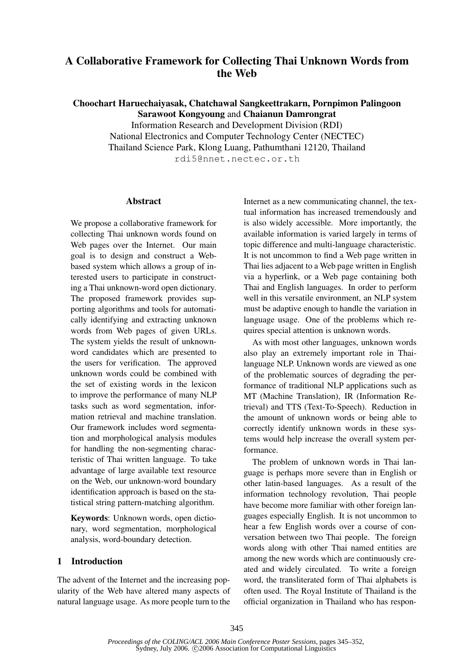# A Collaborative Framework for Collecting Thai Unknown Words from the Web

Choochart Haruechaiyasak, Chatchawal Sangkeettrakarn, Pornpimon Palingoon Sarawoot Kongyoung and Chaianun Damrongrat

> Information Research and Development Division (RDI) National Electronics and Computer Technology Center (NECTEC) Thailand Science Park, Klong Luang, Pathumthani 12120, Thailand rdi5@nnet.nectec.or.th

#### Abstract

We propose a collaborative framework for collecting Thai unknown words found on Web pages over the Internet. Our main goal is to design and construct a Webbased system which allows a group of interested users to participate in constructing a Thai unknown-word open dictionary. The proposed framework provides supporting algorithms and tools for automatically identifying and extracting unknown words from Web pages of given URLs. The system yields the result of unknownword candidates which are presented to the users for verification. The approved unknown words could be combined with the set of existing words in the lexicon to improve the performance of many NLP tasks such as word segmentation, information retrieval and machine translation. Our framework includes word segmentation and morphological analysis modules for handling the non-segmenting characteristic of Thai written language. To take advantage of large available text resource on the Web, our unknown-word boundary identification approach is based on the statistical string pattern-matching algorithm.

Keywords: Unknown words, open dictionary, word segmentation, morphological analysis, word-boundary detection.

## 1 Introduction

The advent of the Internet and the increasing popularity of the Web have altered many aspects of natural language usage. As more people turn to the

Internet as a new communicating channel, the textual information has increased tremendously and is also widely accessible. More importantly, the available information is varied largely in terms of topic difference and multi-language characteristic. It is not uncommon to find a Web page written in Thai lies adjacent to a Web page written in English via a hyperlink, or a Web page containing both Thai and English languages. In order to perform well in this versatile environment, an NLP system must be adaptive enough to handle the variation in language usage. One of the problems which requires special attention is unknown words.

As with most other languages, unknown words also play an extremely important role in Thailanguage NLP. Unknown words are viewed as one of the problematic sources of degrading the performance of traditional NLP applications such as MT (Machine Translation), IR (Information Retrieval) and TTS (Text-To-Speech). Reduction in the amount of unknown words or being able to correctly identify unknown words in these systems would help increase the overall system performance.

The problem of unknown words in Thai language is perhaps more severe than in English or other latin-based languages. As a result of the information technology revolution, Thai people have become more familiar with other foreign languages especially English. It is not uncommon to hear a few English words over a course of conversation between two Thai people. The foreign words along with other Thai named entities are among the new words which are continuously created and widely circulated. To write a foreign word, the transliterated form of Thai alphabets is often used. The Royal Institute of Thailand is the official organization in Thailand who has respon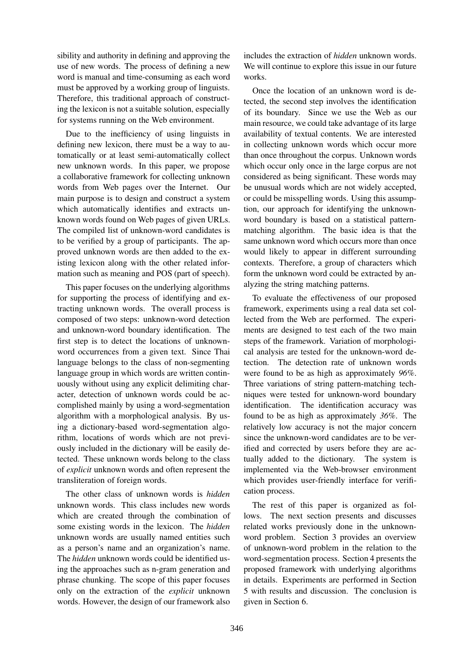sibility and authority in defining and approving the use of new words. The process of defining a new word is manual and time-consuming as each word must be approved by a working group of linguists. Therefore, this traditional approach of constructing the lexicon is not a suitable solution, especially for systems running on the Web environment.

Due to the inefficiency of using linguists in defining new lexicon, there must be a way to automatically or at least semi-automatically collect new unknown words. In this paper, we propose a collaborative framework for collecting unknown words from Web pages over the Internet. Our main purpose is to design and construct a system which automatically identifies and extracts unknown words found on Web pages of given URLs. The compiled list of unknown-word candidates is to be verified by a group of participants. The approved unknown words are then added to the existing lexicon along with the other related information such as meaning and POS (part of speech).

This paper focuses on the underlying algorithms for supporting the process of identifying and extracting unknown words. The overall process is composed of two steps: unknown-word detection and unknown-word boundary identification. The first step is to detect the locations of unknownword occurrences from a given text. Since Thai language belongs to the class of non-segmenting language group in which words are written continuously without using any explicit delimiting character, detection of unknown words could be accomplished mainly by using a word-segmentation algorithm with a morphological analysis. By using a dictionary-based word-segmentation algorithm, locations of words which are not previously included in the dictionary will be easily detected. These unknown words belong to the class of explicit unknown words and often represent the transliteration of foreign words.

The other class of unknown words is *hidden* unknown words. This class includes new words which are created through the combination of some existing words in the lexicon. The hidden unknown words are usually named entities such as a person's name and an organization's name. The hidden unknown words could be identified using the approaches such as n-gram generation and phrase chunking. The scope of this paper focuses only on the extraction of the explicit unknown words. However, the design of our framework also includes the extraction of hidden unknown words. We will continue to explore this issue in our future works.

Once the location of an unknown word is detected, the second step involves the identification of its boundary. Since we use the Web as our main resource, we could take advantage of its large availability of textual contents. We are interested in collecting unknown words which occur more than once throughout the corpus. Unknown words which occur only once in the large corpus are not considered as being significant. These words may be unusual words which are not widely accepted, or could be misspelling words. Using this assumption, our approach for identifying the unknownword boundary is based on a statistical patternmatching algorithm. The basic idea is that the same unknown word which occurs more than once would likely to appear in different surrounding contexts. Therefore, a group of characters which form the unknown word could be extracted by analyzing the string matching patterns.

To evaluate the effectiveness of our proposed framework, experiments using a real data set collected from the Web are performed. The experiments are designed to test each of the two main steps of the framework. Variation of morphological analysis are tested for the unknown-word detection. The detection rate of unknown words were found to be as high as approximately 96%. Three variations of string pattern-matching techniques were tested for unknown-word boundary identification. The identification accuracy was found to be as high as approximately 36%. The relatively low accuracy is not the major concern since the unknown-word candidates are to be verified and corrected by users before they are actually added to the dictionary. The system is implemented via the Web-browser environment which provides user-friendly interface for verification process.

The rest of this paper is organized as follows. The next section presents and discusses related works previously done in the unknownword problem. Section 3 provides an overview of unknown-word problem in the relation to the word-segmentation process. Section 4 presents the proposed framework with underlying algorithms in details. Experiments are performed in Section 5 with results and discussion. The conclusion is given in Section 6.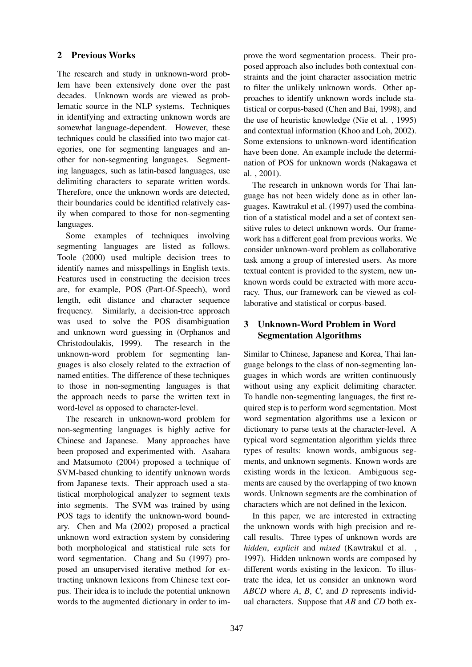## 2 Previous Works

The research and study in unknown-word problem have been extensively done over the past decades. Unknown words are viewed as problematic source in the NLP systems. Techniques in identifying and extracting unknown words are somewhat language-dependent. However, these techniques could be classified into two major categories, one for segmenting languages and another for non-segmenting languages. Segmenting languages, such as latin-based languages, use delimiting characters to separate written words. Therefore, once the unknown words are detected, their boundaries could be identified relatively easily when compared to those for non-segmenting languages.

Some examples of techniques involving segmenting languages are listed as follows. Toole (2000) used multiple decision trees to identify names and misspellings in English texts. Features used in constructing the decision trees are, for example, POS (Part-Of-Speech), word length, edit distance and character sequence frequency. Similarly, a decision-tree approach was used to solve the POS disambiguation and unknown word guessing in (Orphanos and Christodoulakis, 1999). The research in the unknown-word problem for segmenting languages is also closely related to the extraction of named entities. The difference of these techniques to those in non-segmenting languages is that the approach needs to parse the written text in word-level as opposed to character-level.

The research in unknown-word problem for non-segmenting languages is highly active for Chinese and Japanese. Many approaches have been proposed and experimented with. Asahara and Matsumoto (2004) proposed a technique of SVM-based chunking to identify unknown words from Japanese texts. Their approach used a statistical morphological analyzer to segment texts into segments. The SVM was trained by using POS tags to identify the unknown-word boundary. Chen and Ma (2002) proposed a practical unknown word extraction system by considering both morphological and statistical rule sets for word segmentation. Chang and Su (1997) proposed an unsupervised iterative method for extracting unknown lexicons from Chinese text corpus. Their idea is to include the potential unknown words to the augmented dictionary in order to improve the word segmentation process. Their proposed approach also includes both contextual constraints and the joint character association metric to filter the unlikely unknown words. Other approaches to identify unknown words include statistical or corpus-based (Chen and Bai, 1998), and the use of heuristic knowledge (Nie et al. , 1995) and contextual information (Khoo and Loh, 2002). Some extensions to unknown-word identification have been done. An example include the determination of POS for unknown words (Nakagawa et al. , 2001).

The research in unknown words for Thai language has not been widely done as in other languages. Kawtrakul et al. (1997) used the combination of a statistical model and a set of context sensitive rules to detect unknown words. Our framework has a different goal from previous works. We consider unknown-word problem as collaborative task among a group of interested users. As more textual content is provided to the system, new unknown words could be extracted with more accuracy. Thus, our framework can be viewed as collaborative and statistical or corpus-based.

# 3 Unknown-Word Problem in Word Segmentation Algorithms

Similar to Chinese, Japanese and Korea, Thai language belongs to the class of non-segmenting languages in which words are written continuously without using any explicit delimiting character. To handle non-segmenting languages, the first required step is to perform word segmentation. Most word segmentation algorithms use a lexicon or dictionary to parse texts at the character-level. A typical word segmentation algorithm yields three types of results: known words, ambiguous segments, and unknown segments. Known words are existing words in the lexicon. Ambiguous segments are caused by the overlapping of two known words. Unknown segments are the combination of characters which are not defined in the lexicon.

In this paper, we are interested in extracting the unknown words with high precision and recall results. Three types of unknown words are hidden, explicit and mixed (Kawtrakul et al., 1997). Hidden unknown words are composed by different words existing in the lexicon. To illustrate the idea, let us consider an unknown word ABCD where A, B, C, and D represents individual characters. Suppose that  $AB$  and  $CD$  both ex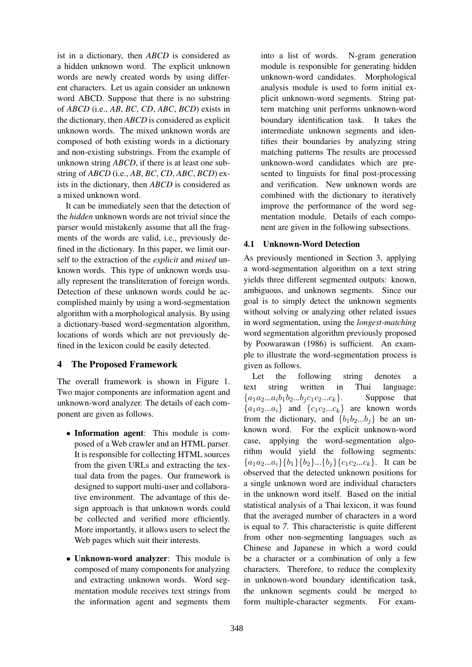ist in a dictionary, then ABCD is considered as a hidden unknown word. The explicit unknown words are newly created words by using different characters. Let us again consider an unknown word ABCD. Suppose that there is no substring of ABCD (i.e., AB, BC, CD, ABC, BCD) exists in the dictionary, then ABCD is considered as explicit unknown words. The mixed unknown words are composed of both existing words in a dictionary and non-existing substrings. From the example of unknown string ABCD, if there is at least one substring of ABCD (i.e., AB, BC, CD, ABC, BCD) exists in the dictionary, then ABCD is considered as a mixed unknown word.

It can be immediately seen that the detection of the hidden unknown words are not trivial since the parser would mistakenly assume that all the fragments of the words are valid, i.e., previously defined in the dictionary. In this paper, we limit ourself to the extraction of the *explicit* and *mixed* unknown words. This type of unknown words usually represent the transliteration of foreign words. Detection of these unknown words could be accomplished mainly by using a word-segmentation algorithm with a morphological analysis. By using a dictionary-based word-segmentation algorithm, locations of words which are not previously defined in the lexicon could be easily detected.

## 4 The Proposed Framework

The overall framework is shown in Figure 1. Two major components are information agent and unknown-word analyzer. The details of each component are given as follows.

- Information agent: This module is composed of a Web crawler and an HTML parser. It is responsible for collecting HTML sources from the given URLs and extracting the textual data from the pages. Our framework is designed to support multi-user and collaborative environment. The advantage of this design approach is that unknown words could be collected and verified more efficiently. More importantly, it allows users to select the Web pages which suit their interests.
- Unknown-word analyzer: This module is composed of many components for analyzing and extracting unknown words. Word segmentation module receives text strings from the information agent and segments them

into a list of words. N-gram generation module is responsible for generating hidden unknown-word candidates. Morphological analysis module is used to form initial explicit unknown-word segments. String pattern matching unit performs unknown-word boundary identification task. It takes the intermediate unknown segments and identifies their boundaries by analyzing string matching patterns The results are processed unknown-word candidates which are presented to linguists for final post-processing and verification. New unknown words are combined with the dictionary to iteratively improve the performance of the word segmentation module. Details of each component are given in the following subsections.

## 4.1 Unknown-Word Detection

As previously mentioned in Section 3, applying a word-segmentation algorithm on a text string yields three different segmented outputs: known, ambiguous, and unknown segments. Since our goal is to simply detect the unknown segments without solving or analyzing other related issues in word segmentation, using the longest-matching word segmentation algorithm previously proposed by Poowarawan (1986) is sufficient. An example to illustrate the word-segmentation process is given as follows.

Let the following string denotes a text string written in Thai language:  ${a_1a_2...a_ib_1b_2...b_jc_1c_2...c_k}$ . Suppose that  ${a_1a_2...a_i}$  and  ${c_1c_2...c_k}$  are known words from the dictionary, and  ${b_1b_2...b_i}$  be an unknown word. For the explicit unknown-word case, applying the word-segmentation algorithm would yield the following segments:  ${a_1a_2...a_i}{b_1}{b_2}...{b_j}{c_1c_2...c_k}.$  It can be observed that the detected unknown positions for a single unknown word are individual characters in the unknown word itself. Based on the initial statistical analysis of a Thai lexicon, it was found that the averaged number of characters in a word is equal to 7. This characteristic is quite different from other non-segmenting languages such as Chinese and Japanese in which a word could be a character or a combination of only a few characters. Therefore, to reduce the complexity in unknown-word boundary identification task, the unknown segments could be merged to form multiple-character segments. For exam-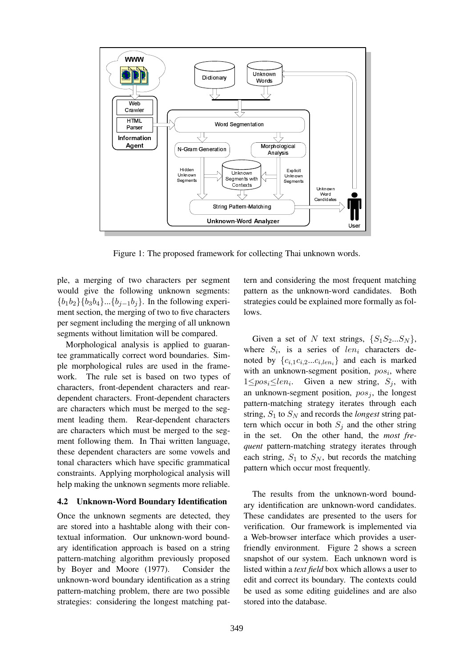

Figure 1: The proposed framework for collecting Thai unknown words.

ple, a merging of two characters per segment would give the following unknown segments:  ${b_1b_2}{b_3b_4}...{b_{j-1}b_j}$ . In the following experiment section, the merging of two to five characters per segment including the merging of all unknown segments without limitation will be compared.

Morphological analysis is applied to guarantee grammatically correct word boundaries. Simple morphological rules are used in the framework. The rule set is based on two types of characters, front-dependent characters and reardependent characters. Front-dependent characters are characters which must be merged to the segment leading them. Rear-dependent characters are characters which must be merged to the segment following them. In Thai written language, these dependent characters are some vowels and tonal characters which have specific grammatical constraints. Applying morphological analysis will help making the unknown segments more reliable.

#### 4.2 Unknown-Word Boundary Identification

Once the unknown segments are detected, they are stored into a hashtable along with their contextual information. Our unknown-word boundary identification approach is based on a string pattern-matching algorithm previously proposed by Boyer and Moore (1977). Consider the unknown-word boundary identification as a string pattern-matching problem, there are two possible strategies: considering the longest matching pattern and considering the most frequent matching pattern as the unknown-word candidates. Both strategies could be explained more formally as follows.

Given a set of N text strings,  $\{S_1S_2...S_N\}$ , where  $S_i$ , is a series of len<sub>i</sub> characters denoted by  $\{c_{i,1}c_{i,2}...c_{i,len_i}\}$  and each is marked with an unknown-segment position,  $pos<sub>i</sub>$ , where  $1 \le pos_i \le len_i$ . Given a new string,  $S_j$ , with an unknown-segment position,  $pos<sub>j</sub>$ , the longest pattern-matching strategy iterates through each string,  $S_1$  to  $S_N$  and records the *longest* string pattern which occur in both  $S_i$  and the other string in the set. On the other hand, the most frequent pattern-matching strategy iterates through each string,  $S_1$  to  $S_N$ , but records the matching pattern which occur most frequently.

The results from the unknown-word boundary identification are unknown-word candidates. These candidates are presented to the users for verification. Our framework is implemented via a Web-browser interface which provides a userfriendly environment. Figure 2 shows a screen snapshot of our system. Each unknown word is listed within a text field box which allows a user to edit and correct its boundary. The contexts could be used as some editing guidelines and are also stored into the database.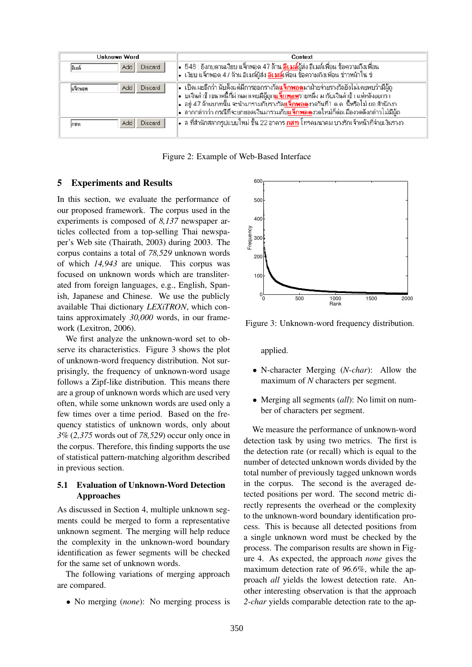| Unknown Word                  | Context                                                                                                                                                                                                                                                                                                                                                                                                                   |  |  |
|-------------------------------|---------------------------------------------------------------------------------------------------------------------------------------------------------------------------------------------------------------------------------------------------------------------------------------------------------------------------------------------------------------------------------------------------------------------------|--|--|
| Add<br>Discard<br>อิเมล์      | ∥•  548 ∶ยังกบดานเงียบ แจ็กพอต 47 ล้าน <mark>อีเ มล์</mark> ผู้ส่ง อีเ มล์เพื่อน ข้อความถึงเพื่อน<br> •  เงียบ แจ็กพอต 47 ล้าน อีเมล์ผู้ส่ง <mark>อิเมล์เพื่อน</mark> ข้อความถึงเพื่อน ข่าวหน้าใน ข่                                                                                                                                                                                                                      |  |  |
| Discard<br>Add<br>ในจึกพอต    | ∙ เปิดเผยอีกว่า นับดั้งแต่มีการออกรางวัล <b>แจ็กพอด</b> มาฝ่ายจ่ายรางวัลยังไม่เคยพบว่ามีผู้ถู<br> •  บเงินล่าช้าขนาดนี้ที่ผ่านมาเคยมีผู้ถูก <mark>แจ็กพอต</mark> รายหนึ่ง มารับเงินล่าช้า แต่หลังออกรา ้<br> ∙่อยู่ 47 ล้านบาทนั้น จะนำมารวมกับรางวัล <mark>แจ็กพอด</mark> งวดวันที่1 ต.ค. นี้หรือไม่ ผอ.สำนักงา<br> •  ลากกล่าวว่า กรณีที่จะยกยอดเงินมารวมกั <mark>บแจ็กพอ</mark> ดงวดใหม่ก็ต่อเมื่องวดดังกล่าวไม่มีผู้ถ |  |  |
| <b>Discard</b><br>Add<br>ไกสท | ∙ล ที่สำนักสลากรูปแบบใหม่ ชิ้น 22 อาคาร <mark>กสท</mark> โทรคมนาคม บางรักเจ้าหน้าที่จ่ายเงินรางว                                                                                                                                                                                                                                                                                                                          |  |  |

Figure 2: Example of Web-Based Interface

#### 5 Experiments and Results

In this section, we evaluate the performance of our proposed framework. The corpus used in the experiments is composed of 8,137 newspaper articles collected from a top-selling Thai newspaper's Web site (Thairath, 2003) during 2003. The corpus contains a total of 78,529 unknown words of which 14,943 are unique. This corpus was focused on unknown words which are transliterated from foreign languages, e.g., English, Spanish, Japanese and Chinese. We use the publicly available Thai dictionary LEXiTRON, which contains approximately 30,000 words, in our framework (Lexitron, 2006).

We first analyze the unknown-word set to observe its characteristics. Figure 3 shows the plot of unknown-word frequency distribution. Not surprisingly, the frequency of unknown-word usage follows a Zipf-like distribution. This means there are a group of unknown words which are used very often, while some unknown words are used only a few times over a time period. Based on the frequency statistics of unknown words, only about 3% (2,375 words out of 78,529) occur only once in the corpus. Therefore, this finding supports the use of statistical pattern-matching algorithm described in previous section.

### 5.1 Evaluation of Unknown-Word Detection Approaches

As discussed in Section 4, multiple unknown segments could be merged to form a representative unknown segment. The merging will help reduce the complexity in the unknown-word boundary identification as fewer segments will be checked for the same set of unknown words.

The following variations of merging approach are compared.

• No merging (none): No merging process is



Figure 3: Unknown-word frequency distribution.

applied.

- N-character Merging (*N-char*): Allow the maximum of N characters per segment.
- Merging all segments *(all)*: No limit on number of characters per segment.

We measure the performance of unknown-word detection task by using two metrics. The first is the detection rate (or recall) which is equal to the number of detected unknown words divided by the total number of previously tagged unknown words in the corpus. The second is the averaged detected positions per word. The second metric directly represents the overhead or the complexity to the unknown-word boundary identification process. This is because all detected positions from a single unknown word must be checked by the process. The comparison results are shown in Figure 4. As expected, the approach none gives the maximum detection rate of 96.6%, while the approach all yields the lowest detection rate. Another interesting observation is that the approach 2-char yields comparable detection rate to the ap-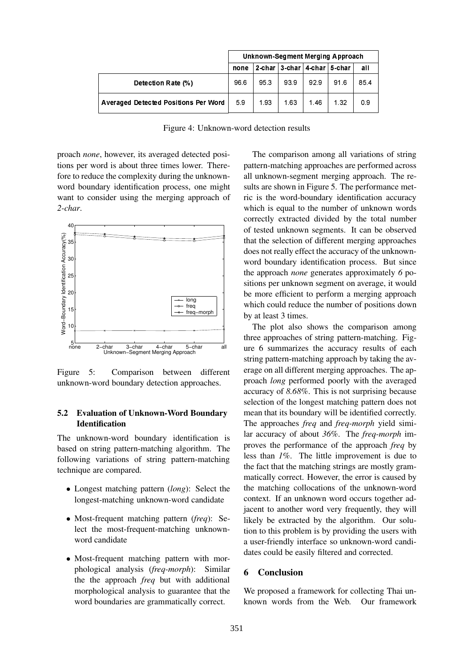|                                             | Unknown-Segment Merging Approach |     |      |                                 |      |     |
|---------------------------------------------|----------------------------------|-----|------|---------------------------------|------|-----|
|                                             | none                             |     |      | 2-char 3-char   4-char   5-char |      | all |
| Detection Rate (%)                          | 96.6                             | 953 | 939  | 929                             | 91.6 | 854 |
| <b>Averaged Detected Positions Per Word</b> | 59                               | 193 | 1 63 | 1.46                            | 1.32 | 09  |

Figure 4: Unknown-word detection results

proach none, however, its averaged detected positions per word is about three times lower. Therefore to reduce the complexity during the unknownword boundary identification process, one might want to consider using the merging approach of 2-char.



Figure 5: Comparison between different unknown-word boundary detection approaches.

### 5.2 Evaluation of Unknown-Word Boundary **Identification**

The unknown-word boundary identification is based on string pattern-matching algorithm. The following variations of string pattern-matching technique are compared.

- Longest matching pattern (long): Select the longest-matching unknown-word candidate
- Most-frequent matching pattern (freq): Select the most-frequent-matching unknownword candidate
- Most-frequent matching pattern with morphological analysis (freq-morph): Similar the the approach freq but with additional morphological analysis to guarantee that the word boundaries are grammatically correct.

The comparison among all variations of string pattern-matching approaches are performed across all unknown-segment merging approach. The results are shown in Figure 5. The performance metric is the word-boundary identification accuracy which is equal to the number of unknown words correctly extracted divided by the total number of tested unknown segments. It can be observed that the selection of different merging approaches does not really effect the accuracy of the unknownword boundary identification process. But since the approach none generates approximately 6 positions per unknown segment on average, it would be more efficient to perform a merging approach which could reduce the number of positions down by at least 3 times.

The plot also shows the comparison among three approaches of string pattern-matching. Figure 6 summarizes the accuracy results of each string pattern-matching approach by taking the average on all different merging approaches. The approach long performed poorly with the averaged accuracy of 8.68%. This is not surprising because selection of the longest matching pattern does not mean that its boundary will be identified correctly. The approaches *freq* and *freq-morph* yield similar accuracy of about 36%. The freq-morph improves the performance of the approach freq by less than 1%. The little improvement is due to the fact that the matching strings are mostly grammatically correct. However, the error is caused by the matching collocations of the unknown-word context. If an unknown word occurs together adjacent to another word very frequently, they will likely be extracted by the algorithm. Our solution to this problem is by providing the users with a user-friendly interface so unknown-word candidates could be easily filtered and corrected.

## 6 Conclusion

We proposed a framework for collecting Thai unknown words from the Web. Our framework